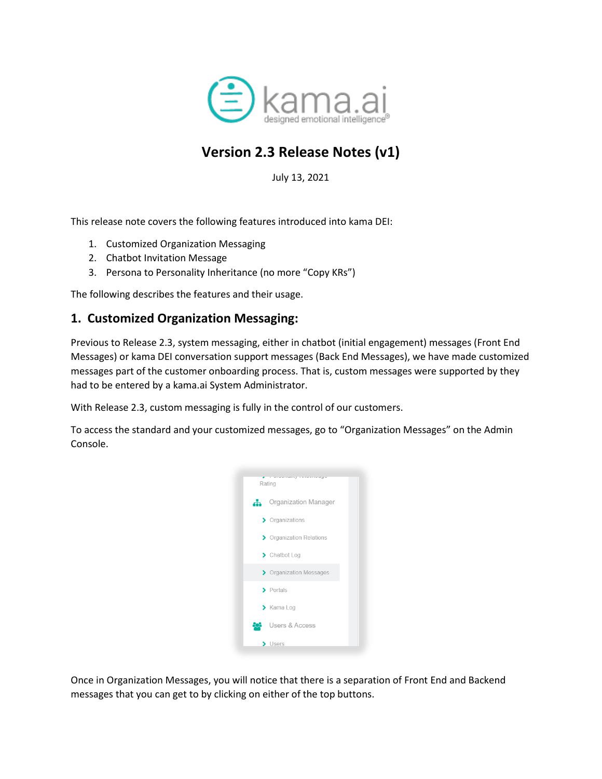

# **Version 2.3 Release Notes (v1)**

July 13, 2021

This release note covers the following features introduced into kama DEI:

- 1. Customized Organization Messaging
- 2. Chatbot Invitation Message
- 3. Persona to Personality Inheritance (no more "Copy KRs")

The following describes the features and their usage.

### **1. Customized Organization Messaging:**

Previous to Release 2.3, system messaging, either in chatbot (initial engagement) messages (Front End Messages) or kama DEI conversation support messages (Back End Messages), we have made customized messages part of the customer onboarding process. That is, custom messages were supported by they had to be entered by a kama.ai System Administrator.

With Release 2.3, custom messaging is fully in the control of our customers.

To access the standard and your customized messages, go to "Organization Messages" on the Admin Console.



Once in Organization Messages, you will notice that there is a separation of Front End and Backend messages that you can get to by clicking on either of the top buttons.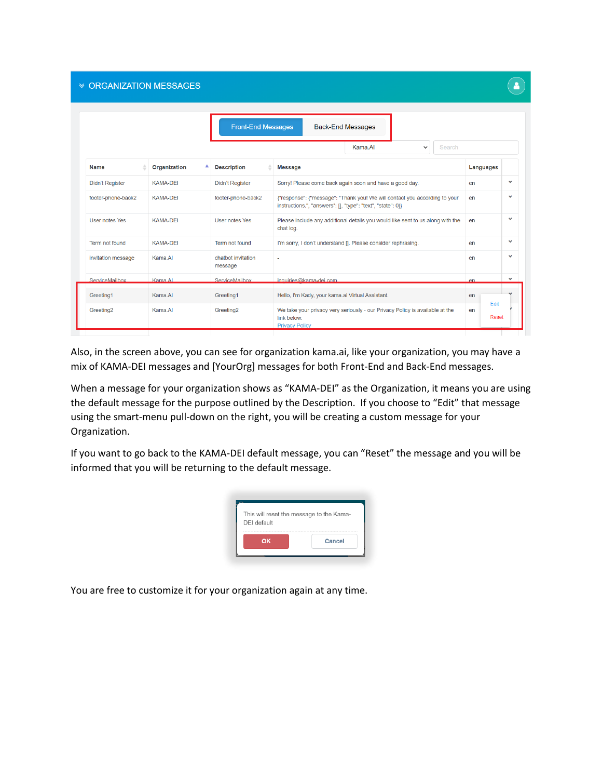#### **≫ ORGANIZATION MESSAGES**

|                        |                     | <b>Front-End Messages</b>     | <b>Back-End Messages</b>                                                                                                                  |                     |              |
|------------------------|---------------------|-------------------------------|-------------------------------------------------------------------------------------------------------------------------------------------|---------------------|--------------|
|                        |                     |                               | Kama.AI<br>Search<br>$\check{ }$                                                                                                          |                     |              |
| <b>Name</b>            | <b>Organization</b> | <b>Description</b>            | <b>Message</b>                                                                                                                            | Languages           |              |
| <b>Didn't Register</b> | <b>KAMA-DEI</b>     | <b>Didn't Register</b>        | Sorry! Please come back again soon and have a good day.                                                                                   | en                  | $\checkmark$ |
| footer-phone-back2     | <b>KAMA-DEI</b>     | footer-phone-back2            | {"response": {"message": "Thank you! We will contact you according to your<br>instructions.", "answers": [], "type": "text", "state": 0}} | en                  | v            |
| <b>User notes Yes</b>  | <b>KAMA-DEI</b>     | User notes Yes                | Please include any additional details you would like sent to us along with the<br>chat log.                                               | en                  | $\checkmark$ |
| Term not found         | <b>KAMA-DEI</b>     | Term not found                | I'm sorry, I don't understand []. Please consider rephrasing.                                                                             | en                  | v            |
| invitation message     | Kama.AI             | chatbot invitation<br>message |                                                                                                                                           | en                  | v            |
| ServiceMailbox         | Kama Al             | ServiceMailbox                | inquiries@kama-dei.com                                                                                                                    | $\rho$ n            | $\checkmark$ |
| Greeting1              | Kama.AI             | Greeting1                     | Hello, I'm Kady, your kama.ai Virtual Assistant.                                                                                          | en                  |              |
| Greeting <sub>2</sub>  | Kama.AI             | Greeting <sub>2</sub>         | We take your privacy very seriously - our Privacy Policy is available at the<br>link below.<br><b>Privacy Policy</b>                      | Fdit<br>en<br>Reset |              |

Also, in the screen above, you can see for organization kama.ai, like your organization, you may have a mix of KAMA-DEI messages and [YourOrg] messages for both Front-End and Back-End messages.

When a message for your organization shows as "KAMA-DEI" as the Organization, it means you are using the default message for the purpose outlined by the Description. If you choose to "Edit" that message using the smart-menu pull-down on the right, you will be creating a custom message for your Organization.

If you want to go back to the KAMA-DEI default message, you can "Reset" the message and you will be informed that you will be returning to the default message.

| DEI default |    | This will reset the message to the Kama- |
|-------------|----|------------------------------------------|
|             |    |                                          |
|             | OK | Cancel                                   |

You are free to customize it for your organization again at any time.

 $\bullet$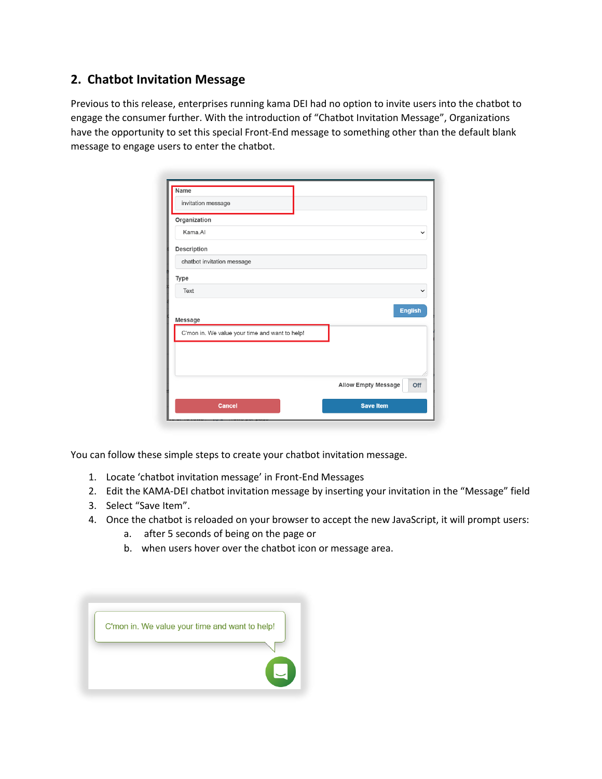## **2. Chatbot Invitation Message**

Previous to this release, enterprises running kama DEI had no option to invite users into the chatbot to engage the consumer further. With the introduction of "Chatbot Invitation Message", Organizations have the opportunity to set this special Front-End message to something other than the default blank message to engage users to enter the chatbot.

| <b>Name</b>                                    |                            |
|------------------------------------------------|----------------------------|
| invitation message                             |                            |
| Organization                                   |                            |
| Kama, Al                                       | $\check{ }$                |
| Description                                    |                            |
| chatbot invitation message                     |                            |
| Type                                           |                            |
| Text                                           | $\checkmark$               |
| Message                                        | <b>English</b>             |
| C'mon in. We value your time and want to help! |                            |
|                                                |                            |
|                                                |                            |
|                                                | Allow Empty Message<br>Off |
| <b>Cancel</b>                                  | <b>Save Item</b>           |

You can follow these simple steps to create your chatbot invitation message.

- 1. Locate 'chatbot invitation message' in Front-End Messages
- 2. Edit the KAMA-DEI chatbot invitation message by inserting your invitation in the "Message" field
- 3. Select "Save Item".
- 4. Once the chatbot is reloaded on your browser to accept the new JavaScript, it will prompt users:
	- a. after 5 seconds of being on the page or
	- b. when users hover over the chatbot icon or message area.

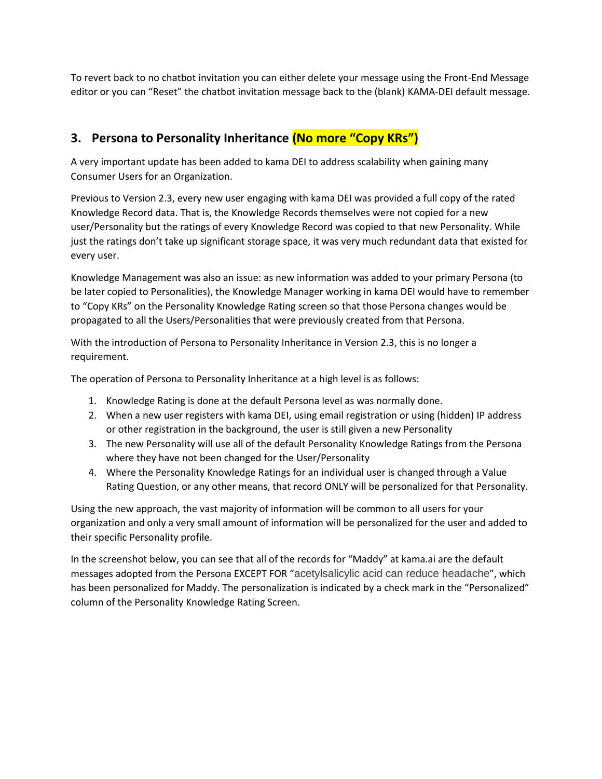To revert back to no chatbot invitation you can either delete your message using the Front-End Message editor or you can "Reset" the chatbot invitation message back to the (blank) KAMA-DEI default message.

# **3. Persona to Personality Inheritance (No more "Copy KRs")**

A very important update has been added to kama DEI to address scalability when gaining many Consumer Users for an Organization.

Previous to Version 2.3, every new user engaging with kama DEI was provided a full copy of the rated Knowledge Record data. That is, the Knowledge Records themselves were not copied for a new user/Personality but the ratings of every Knowledge Record was copied to that new Personality. While just the ratings don't take up significant storage space, it was very much redundant data that existed for every user.

Knowledge Management was also an issue: as new information was added to your primary Persona (to be later copied to Personalities), the Knowledge Manager working in kama DEI would have to remember to "Copy KRs" on the Personality Knowledge Rating screen so that those Persona changes would be propagated to all the Users/Personalities that were previously created from that Persona.

With the introduction of Persona to Personality Inheritance in Version 2.3, this is no longer a requirement.

The operation of Persona to Personality Inheritance at a high level is as follows:

- 1. Knowledge Rating is done at the default Persona level as was normally done.
- 2. When a new user registers with kama DEI, using email registration or using (hidden) IP address or other registration in the background, the user is still given a new Personality
- 3. The new Personality will use all of the default Personality Knowledge Ratings from the Persona where they have not been changed for the User/Personality
- 4. Where the Personality Knowledge Ratings for an individual user is changed through a Value Rating Question, or any other means, that record ONLY will be personalized for that Personality.

Using the new approach, the vast majority of information will be common to all users for your organization and only a very small amount of information will be personalized for the user and added to their specific Personality profile.

In the screenshot below, you can see that all of the records for "Maddy" at kama.ai are the default messages adopted from the Persona EXCEPT FOR "acetylsalicylic acid can reduce headache", which has been personalized for Maddy. The personalization is indicated by a check mark in the "Personalized" column of the Personality Knowledge Rating Screen.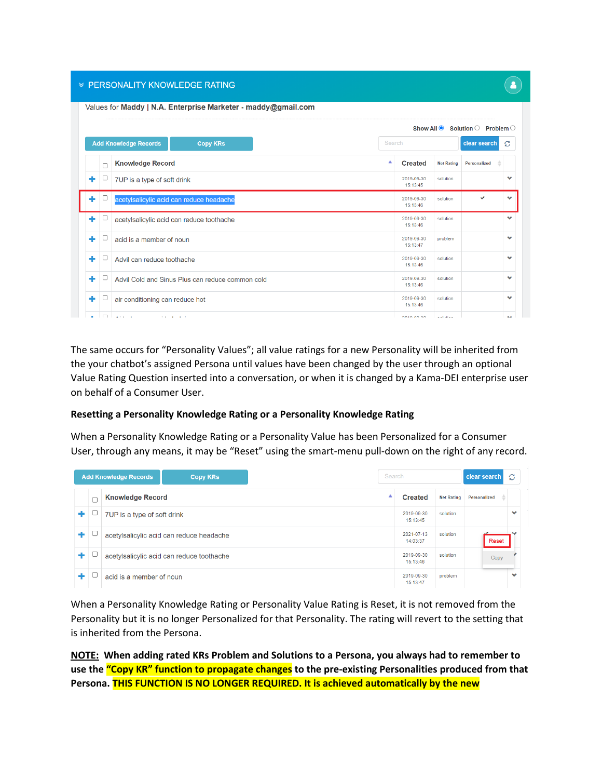#### **≫ PERSONALITY KNOWLEDGE RATING**

|             |                                                  |        |                        |                    | Show All $\bullet$ Solution $\circ$ Problem $\circ$ |              |
|-------------|--------------------------------------------------|--------|------------------------|--------------------|-----------------------------------------------------|--------------|
|             | <b>Add Knowledge Records</b><br><b>Copy KRS</b>  | Search |                        |                    | clear search                                        | Ø            |
| $\Box$      | <b>Knowledge Record</b>                          | ▲      | <b>Created</b>         | <b>Net Rating</b>  | Personalized                                        |              |
| ÷<br>◡      | 7UP is a type of soft drink                      |        | 2019-09-30<br>15:13:45 | solution           |                                                     | v            |
| $\Box$<br>٠ | acetylsalicylic acid can reduce headache         |        | 2019-09-30<br>15:13:46 | solution           | ✓                                                   | v            |
| $\Box$<br>÷ | acetylsalicylic acid can reduce toothache        |        | 2019-09-30<br>15:13:46 | solution           |                                                     | $\checkmark$ |
| ÷<br>U      | acid is a member of noun                         |        | 2019-09-30<br>15:13:47 | problem            |                                                     | $\checkmark$ |
| u<br>÷      | Advil can reduce toothache                       |        | 2019-09-30<br>15:13:46 | solution           |                                                     | $\checkmark$ |
| ÷<br>u      | Advil Cold and Sinus Plus can reduce common cold |        | 2019-09-30<br>15:13:46 | solution           |                                                     | $\checkmark$ |
| ٠           | air conditioning can reduce hot                  |        | 2019-09-30<br>15:13:46 | solution           |                                                     | v            |
| $\Box$      | Alberta Card<br><b>Service Controllers</b>       |        | 3040.00.30             | and the other con- |                                                     |              |

The same occurs for "Personality Values"; all value ratings for a new Personality will be inherited from the your chatbot's assigned Persona until values have been changed by the user through an optional Value Rating Question inserted into a conversation, or when it is changed by a Kama-DEI enterprise user on behalf of a Consumer User.

#### **Resetting a Personality Knowledge Rating or a Personality Knowledge Rating**

When a Personality Knowledge Rating or a Personality Value has been Personalized for a Consumer User, through any means, it may be "Reset" using the smart-menu pull-down on the right of any record.

|   |   | <b>Add Knowledge Records</b> | <b>Copy KRS</b>                           | Search |                        |                   | clear search | Ø            |
|---|---|------------------------------|-------------------------------------------|--------|------------------------|-------------------|--------------|--------------|
|   | C | <b>Knowledge Record</b>      |                                           | ▴      | <b>Created</b>         | <b>Net Rating</b> | Personalized |              |
| ٠ |   | 7UP is a type of soft drink  |                                           |        | 2019-09-30<br>15:13:45 | solution          |              | $\checkmark$ |
| ٠ |   |                              | acetylsalicylic acid can reduce headache  |        | 2021-07-13<br>14.03.37 | solution          | Reset        |              |
| ٠ |   |                              | acetylsalicylic acid can reduce toothache |        | 2019-09-30<br>15:13:46 | solution          | Copy         |              |
| ٠ |   | acid is a member of noun     |                                           |        | 2019-09-30<br>15:13:47 | problem           |              | $\checkmark$ |

When a Personality Knowledge Rating or Personality Value Rating is Reset, it is not removed from the Personality but it is no longer Personalized for that Personality. The rating will revert to the setting that is inherited from the Persona.

**NOTE: When adding rated KRs Problem and Solutions to a Persona, you always had to remember to use the "Copy KR" function to propagate changes to the pre-existing Personalities produced from that Persona. THIS FUNCTION IS NO LONGER REQUIRED. It is achieved automatically by the new**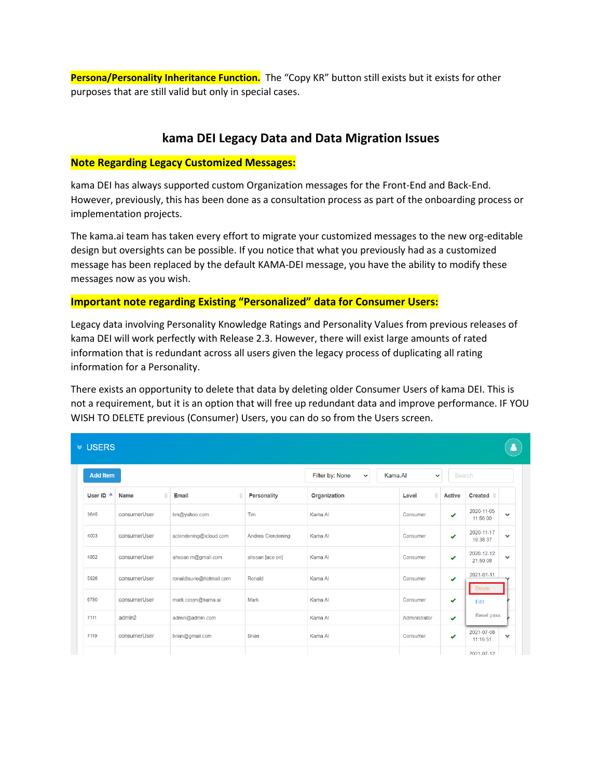**Persona/Personality Inheritance Function.** The "Copy KR" button still exists but it exists for other purposes that are still valid but only in special cases.

### **kama DEI Legacy Data and Data Migration Issues**

#### **Note Regarding Legacy Customized Messages:**

kama DEI has always supported custom Organization messages for the Front-End and Back-End. However, previously, this has been done as a consultation process as part of the onboarding process or implementation projects.

The kama.ai team has taken every effort to migrate your customized messages to the new org-editable design but oversights can be possible. If you notice that what you previously had as a customized message has been replaced by the default KAMA-DEI message, you have the ability to modify these messages now as you wish.

### **Important note regarding Existing "Personalized" data for Consumer Users:**

Legacy data involving Personality Knowledge Ratings and Personality Values from previous releases of kama DEI will work perfectly with Release 2.3. However, there will exist large amounts of rated information that is redundant across all users given the legacy process of duplicating all rating information for a Personality.

There exists an opportunity to delete that data by deleting older Consumer Users of kama DEI. This is not a requirement, but it is an option that will free up redundant data and improve performance. IF YOU WISH TO DELETE previous (Consumer) Users, you can do so from the Users screen.

| <b>≫ USERS</b>       |                  |                          |                                                           |              |               |               |                        |              |
|----------------------|------------------|--------------------------|-----------------------------------------------------------|--------------|---------------|---------------|------------------------|--------------|
| <b>Add Item</b>      |                  |                          | Filter by: None<br>Kama.AI<br>$\checkmark$<br>$\check{ }$ |              |               | Search        |                        |              |
| User ID <sup>4</sup> | ≞<br><b>Name</b> | Email<br>ê               | Personality                                               | Organization | ê<br>Level    | <b>Active</b> | $Create \triangle$     |              |
| 3645                 | consumerUser     | tim@yahoo.com            | Tim                                                       | Kama Al      | Consumer      | ✔             | 2020-11-05<br>11:56:00 | $\checkmark$ |
| 4003                 | consumerUser     | aclendening@icloud.com   | Andrea Clendening                                         | Kama.AI      | Consumer      | ✔             | 2020-11-17<br>19:38:37 | $\checkmark$ |
| 4862                 | consumerUser     | ahssan.m@gmail.com       | ahssan [ace.on]                                           | Kama Al      | Consumer      | ✔             | 2020-12-12<br>21:50:08 | $\checkmark$ |
| 5826                 | consumerUser     | ronaldlaurie@hotmail.com | Ronald                                                    | Kama Al      | Consumer      | ✔             | 2021-01-11<br>Delete   |              |
| 6780                 | consumerUser     | mark.cosyn@kama.ai       | Mark                                                      | Kama.AI      | Consumer      | ✔             | Edit                   |              |
| 7111                 | admin2           | admin@admin.com          |                                                           | Kama Al      | Administrator | ✔             | Reset pass             |              |
| 7119                 | consumerUser     | brian@gmail.com          | <b>Brian</b>                                              | Kama.AI      | Consumer      | ✔             | 2021-07-08<br>11:16:51 | $\checkmark$ |
|                      |                  |                          |                                                           |              |               |               | 2021-07-12             |              |